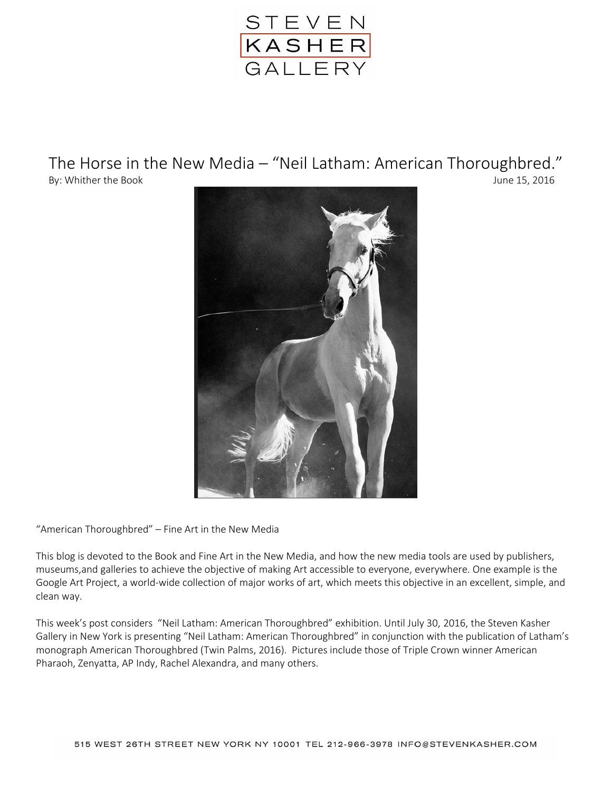

The Horse in the New Media – "Neil Latham: American Thoroughbred." By: Whither the Book **State Intervention Control** Control of the Second State Intervention of the Second State Intervention of the Second State Intervention of the Second State Intervention of the Second State Intervention



"American Thoroughbred" – Fine Art in the New Media

This blog is devoted to the Book and Fine Art in the New Media, and how the new media tools are used by publishers, museums,and galleries to achieve the objective of making Art accessible to everyone, everywhere. One example is the Google Art Project, a world-wide collection of major works of art, which meets this objective in an excellent, simple, and clean way.

This week's post considers "Neil Latham: American Thoroughbred" exhibition. Until July 30, 2016, the Steven Kasher Gallery in New York is presenting "Neil Latham: American Thoroughbred" in conjunction with the publication of Latham's monograph American Thoroughbred (Twin Palms, 2016). Pictures include those of Triple Crown winner American Pharaoh, Zenyatta, AP Indy, Rachel Alexandra, and many others.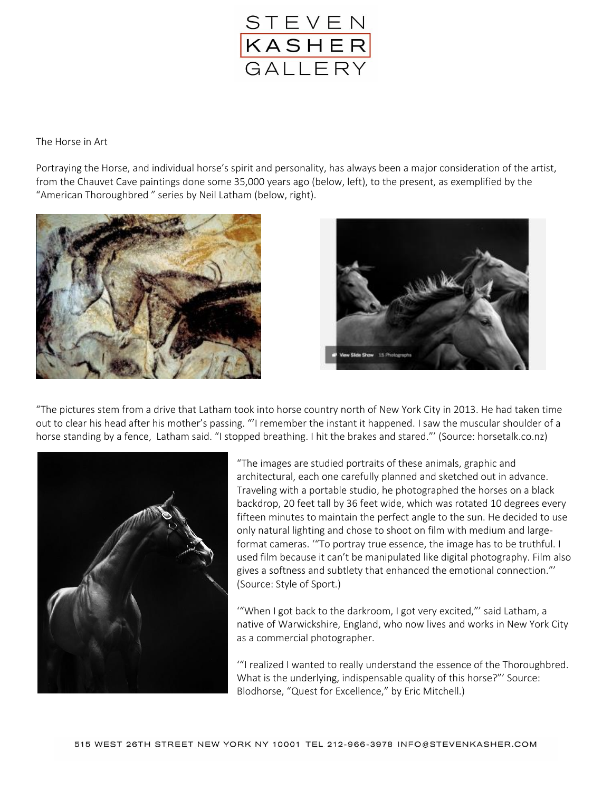

The Horse in Art

Portraying the Horse, and individual horse's spirit and personality, has always been a major consideration of the artist, from the Chauvet Cave paintings done some 35,000 years ago (below, left), to the present, as exemplified by the "American Thoroughbred " series by Neil Latham (below, right).





"The pictures stem from a drive that Latham took into horse country north of New York City in 2013. He had taken time out to clear his head after his mother's passing. "'I remember the instant it happened. I saw the muscular shoulder of a horse standing by a fence, Latham said. "I stopped breathing. I hit the brakes and stared."' (Source: horsetalk.co.nz)



"The images are studied portraits of these animals, graphic and architectural, each one carefully planned and sketched out in advance. Traveling with a portable studio, he photographed the horses on a black backdrop, 20 feet tall by 36 feet wide, which was rotated 10 degrees every fifteen minutes to maintain the perfect angle to the sun. He decided to use only natural lighting and chose to shoot on film with medium and largeformat cameras. '"To portray true essence, the image has to be truthful. I used film because it can't be manipulated like digital photography. Film also gives a softness and subtlety that enhanced the emotional connection."' (Source: Style of Sport.)

'"When I got back to the darkroom, I got very excited,"' said Latham, a native of Warwickshire, England, who now lives and works in New York City as a commercial photographer.

'"I realized I wanted to really understand the essence of the Thoroughbred. What is the underlying, indispensable quality of this horse?"' Source: Blodhorse, "Quest for Excellence," by Eric Mitchell.)